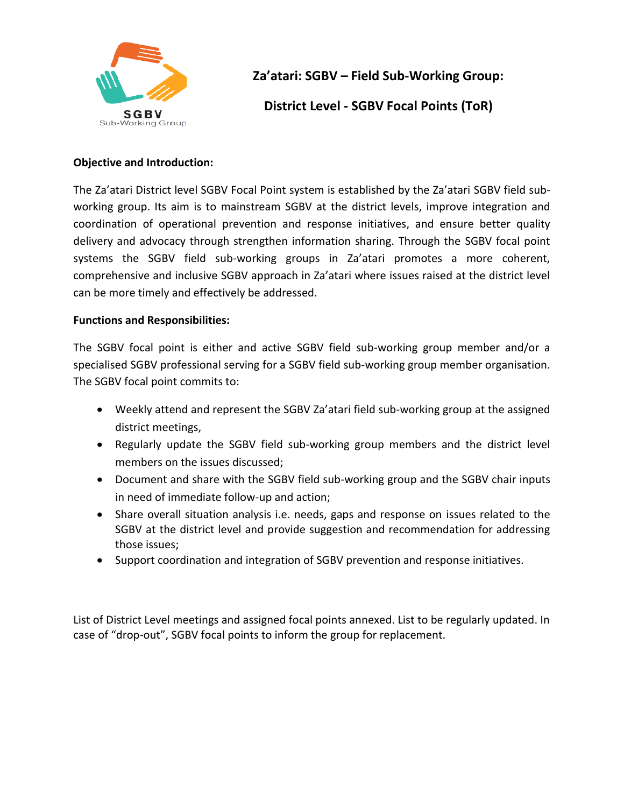

## **Za'atari: SGBV – Field Sub-Working Group:**

**District Level - SGBV Focal Points (ToR)**

## **Objective and Introduction:**

The Za'atari District level SGBV Focal Point system is established by the Za'atari SGBV field subworking group. Its aim is to mainstream SGBV at the district levels, improve integration and coordination of operational prevention and response initiatives, and ensure better quality delivery and advocacy through strengthen information sharing. Through the SGBV focal point systems the SGBV field sub-working groups in Za'atari promotes a more coherent, comprehensive and inclusive SGBV approach in Za'atari where issues raised at the district level can be more timely and effectively be addressed.

## **Functions and Responsibilities:**

The SGBV focal point is either and active SGBV field sub-working group member and/or a specialised SGBV professional serving for a SGBV field sub-working group member organisation. The SGBV focal point commits to:

- Weekly attend and represent the SGBV Za'atari field sub-working group at the assigned district meetings,
- Regularly update the SGBV field sub-working group members and the district level members on the issues discussed;
- Document and share with the SGBV field sub-working group and the SGBV chair inputs in need of immediate follow-up and action;
- Share overall situation analysis i.e. needs, gaps and response on issues related to the SGBV at the district level and provide suggestion and recommendation for addressing those issues;
- Support coordination and integration of SGBV prevention and response initiatives.

List of District Level meetings and assigned focal points annexed. List to be regularly updated. In case of "drop-out", SGBV focal points to inform the group for replacement.